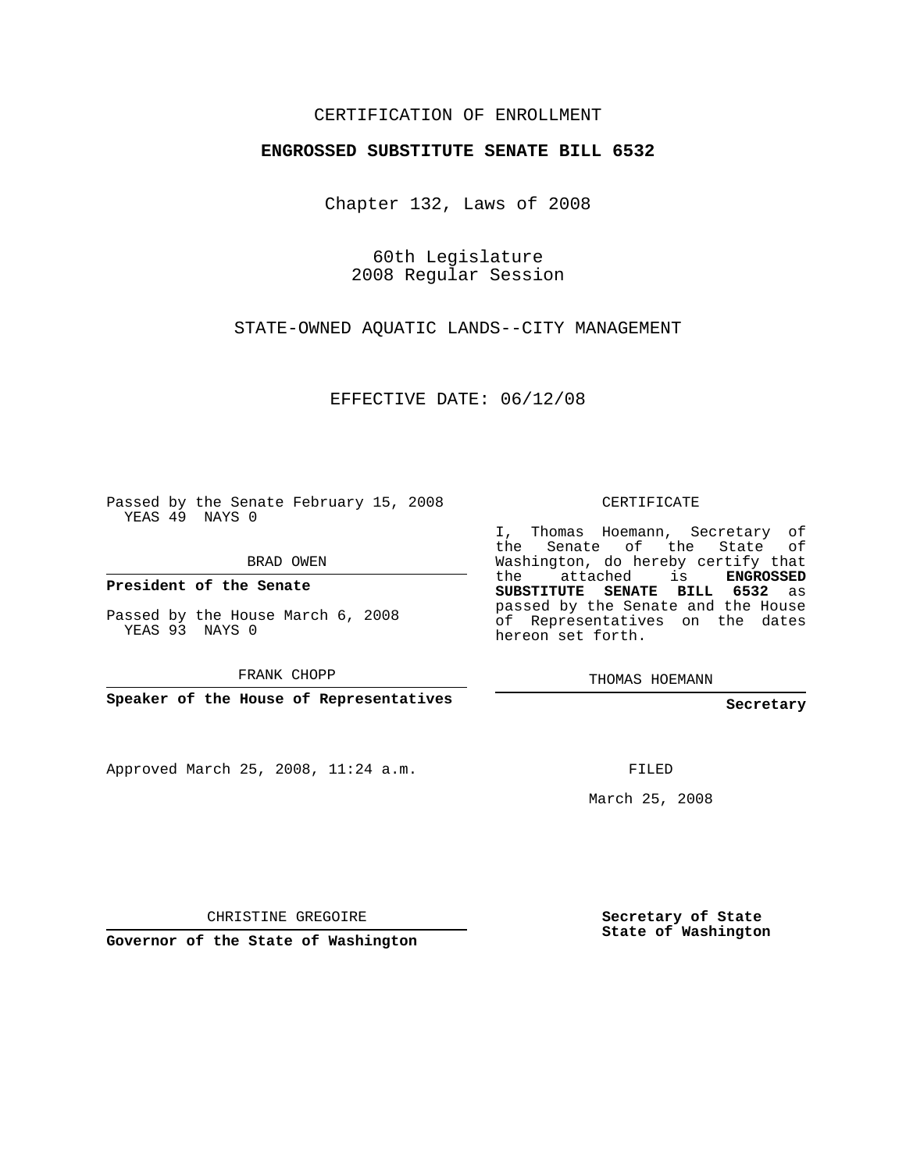## CERTIFICATION OF ENROLLMENT

## **ENGROSSED SUBSTITUTE SENATE BILL 6532**

Chapter 132, Laws of 2008

60th Legislature 2008 Regular Session

STATE-OWNED AQUATIC LANDS--CITY MANAGEMENT

EFFECTIVE DATE: 06/12/08

Passed by the Senate February 15, 2008 YEAS 49 NAYS 0

BRAD OWEN

**President of the Senate**

Passed by the House March 6, 2008 YEAS 93 NAYS 0

FRANK CHOPP

**Speaker of the House of Representatives**

Approved March 25, 2008, 11:24 a.m.

CERTIFICATE

I, Thomas Hoemann, Secretary of the Senate of the State of Washington, do hereby certify that the attached is **ENGROSSED SUBSTITUTE SENATE BILL 6532** as passed by the Senate and the House of Representatives on the dates hereon set forth.

THOMAS HOEMANN

**Secretary**

FILED

March 25, 2008

CHRISTINE GREGOIRE

**Governor of the State of Washington**

**Secretary of State State of Washington**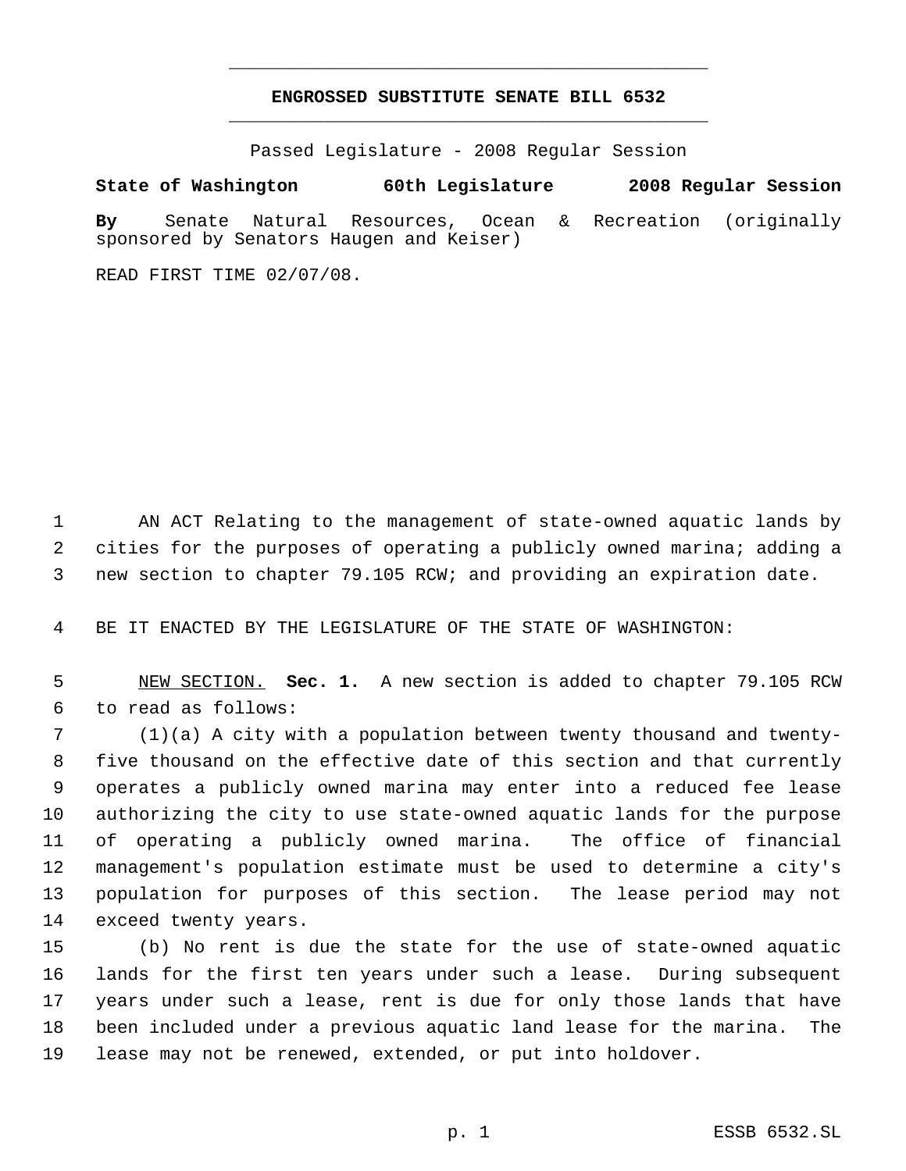## **ENGROSSED SUBSTITUTE SENATE BILL 6532** \_\_\_\_\_\_\_\_\_\_\_\_\_\_\_\_\_\_\_\_\_\_\_\_\_\_\_\_\_\_\_\_\_\_\_\_\_\_\_\_\_\_\_\_\_

\_\_\_\_\_\_\_\_\_\_\_\_\_\_\_\_\_\_\_\_\_\_\_\_\_\_\_\_\_\_\_\_\_\_\_\_\_\_\_\_\_\_\_\_\_

Passed Legislature - 2008 Regular Session

## **State of Washington 60th Legislature 2008 Regular Session**

**By** Senate Natural Resources, Ocean & Recreation (originally sponsored by Senators Haugen and Keiser)

READ FIRST TIME 02/07/08.

 AN ACT Relating to the management of state-owned aquatic lands by cities for the purposes of operating a publicly owned marina; adding a new section to chapter 79.105 RCW; and providing an expiration date.

BE IT ENACTED BY THE LEGISLATURE OF THE STATE OF WASHINGTON:

 NEW SECTION. **Sec. 1.** A new section is added to chapter 79.105 RCW to read as follows:

 (1)(a) A city with a population between twenty thousand and twenty- five thousand on the effective date of this section and that currently operates a publicly owned marina may enter into a reduced fee lease authorizing the city to use state-owned aquatic lands for the purpose of operating a publicly owned marina. The office of financial management's population estimate must be used to determine a city's population for purposes of this section. The lease period may not exceed twenty years.

 (b) No rent is due the state for the use of state-owned aquatic lands for the first ten years under such a lease. During subsequent years under such a lease, rent is due for only those lands that have been included under a previous aquatic land lease for the marina. The lease may not be renewed, extended, or put into holdover.